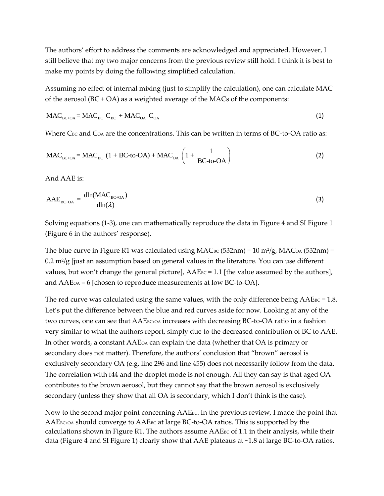The authors' effort to address the comments are acknowledged and appreciated. However, I still believe that my two major concerns from the previous review still hold. I think it is best to make my points by doing the following simplified calculation.

Assuming no effect of internal mixing (just to simplify the calculation), one can calculate MAC of the aerosol  $(BC + OA)$  as a weighted average of the MACs of the components:

$$
\text{MAC}_{\text{BC+OA}} = \text{MAC}_{\text{BC}} \ C_{\text{BC}} + \text{MAC}_{\text{OA}} \ C_{\text{OA}}
$$
 (1)

Where C<sub>BC</sub> and C<sub>OA</sub> are the concentrations. This can be written in terms of BC-to-OA ratio as:  
\n
$$
MAC_{BC+OA} = MAC_{BC} (1 + BC-to-OA) + MAC_{OA} \left(1 + \frac{1}{BC-to-OA}\right)
$$
\n(2)

And AAE is:

$$
AAE_{BC+OA} = \frac{dln(MAC_{BC+OA})}{dln(\lambda)}
$$
\n(3)

Solving equations (1-3), one can mathematically reproduce the data in Figure 4 and SI Figure 1 (Figure 6 in the authors' response).

The blue curve in Figure R1 was calculated using MAC $_{\rm BC}$  (532nm) = 10 m²/g, MAC $_{\rm OA}$  (532nm) =  $0.2$  m²/g [just an assumption based on general values in the literature. You can use different values, but won't change the general picture], AAEBC = 1.1 [the value assumed by the authors], and AAEOA = 6 [chosen to reproduce measurements at low BC-to-OA].

The red curve was calculated using the same values, with the only difference being  $AA$ E $Bc = 1.8$ . Let's put the difference between the blue and red curves aside for now. Looking at any of the two curves, one can see that AAEBC+OA increases with decreasing BC-to-OA ratio in a fashion very similar to what the authors report, simply due to the decreased contribution of BC to AAE. In other words, a constant AAEOA can explain the data (whether that OA is primary or secondary does not matter). Therefore, the authors' conclusion that "brown" aerosol is exclusively secondary OA (e.g. line 296 and line 455) does not necessarily follow from the data. The correlation with f44 and the droplet mode is not enough. All they can say is that aged OA contributes to the brown aerosol, but they cannot say that the brown aerosol is exclusively secondary (unless they show that all OA is secondary, which I don't think is the case).

Now to the second major point concerning  $AAEE_{BC}$ . In the previous review, I made the point that AAE<sub>BC+OA</sub> should converge to AAE<sub>BC</sub> at large BC-to-OA ratios. This is supported by the calculations shown in Figure R1. The authors assume  $AA$ E $\epsilon$  of 1.1 in their analysis, while their data (Figure 4 and SI Figure 1) clearly show that AAE plateaus at ~1.8 at large BC-to-OA ratios.